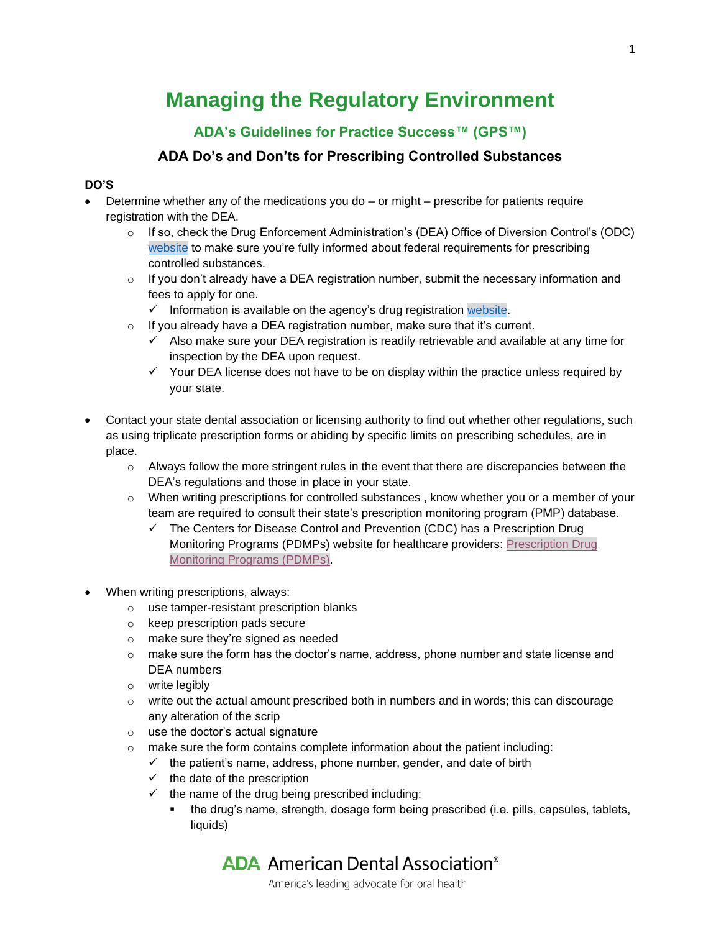# **Managing the Regulatory Environment**

## **ADA's Guidelines for Practice Success™ (GPS™)**

### **ADA Do's and Don'ts for Prescribing Controlled Substances**

#### **DO'S**

- Determine whether any of the medications you do or might prescribe for patients require registration with the DEA.
	- $\circ$  If so, check the Drug Enforcement Administration's (DEA) Office of Diversion Control's (ODC) [website](https://www.deadiversion.usdoj.gov/) to make sure you're fully informed about federal requirements for prescribing controlled substances.
	- $\circ$  If you don't already have a DEA registration number, submit the necessary information and fees to apply for one.
		- $\checkmark$  Information is available on the agency's drug registration [website.](https://www.deadiversion.usdoj.gov/drugreg/index.html)
	- $\circ$  If you already have a DEA registration number, make sure that it's current.
		- $\checkmark$  Also make sure your DEA registration is readily retrievable and available at any time for inspection by the DEA upon request.
		- $\checkmark$  Your DEA license does not have to be on display within the practice unless required by your state.
- Contact your state dental association or licensing authority to find out whether other regulations, such as using triplicate prescription forms or abiding by specific limits on prescribing schedules, are in place.
	- $\circ$  Always follow the more stringent rules in the event that there are discrepancies between the DEA's regulations and those in place in your state.
	- o When writing prescriptions for controlled substances , know whether you or a member of your team are required to consult their state's prescription monitoring program (PMP) database.
		- $\checkmark$  The Centers for Disease Control and Prevention (CDC) has a Prescription Drug Monitoring Programs (PDMPs) website for healthcare providers: [Prescription Drug](https://www.cdc.gov/opioids/providers/pdmps.html)  [Monitoring Programs \(PDMPs\).](https://www.cdc.gov/opioids/providers/pdmps.html)
- When writing prescriptions, always:
	- o use tamper-resistant prescription blanks
	- o keep prescription pads secure
	- o make sure they're signed as needed
	- o make sure the form has the doctor's name, address, phone number and state license and DEA numbers
	- o write legibly
	- $\circ$  write out the actual amount prescribed both in numbers and in words; this can discourage any alteration of the scrip
	- o use the doctor's actual signature
	- $\circ$  make sure the form contains complete information about the patient including:
		- $\checkmark$  the patient's name, address, phone number, gender, and date of birth
		- $\checkmark$  the date of the prescription
		- $\checkmark$  the name of the drug being prescribed including:
			- the drug's name, strength, dosage form being prescribed (i.e. pills, capsules, tablets, liquids)

**ADA** American Dental Association<sup>®</sup>

America's leading advocate for oral health